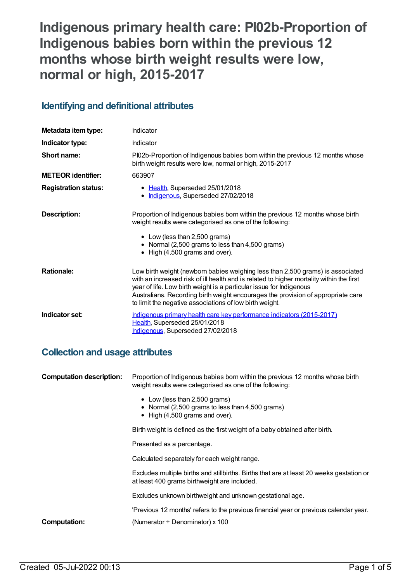# **Indigenous primary health care: PI02b-Proportion of Indigenous babies born within the previous 12 months whose birth weight results were low, normal or high, 2015-2017**

## **Identifying and definitional attributes**

| Metadata item type:         | Indicator                                                                                                                                                                                                                                                                                                                                                                                        |
|-----------------------------|--------------------------------------------------------------------------------------------------------------------------------------------------------------------------------------------------------------------------------------------------------------------------------------------------------------------------------------------------------------------------------------------------|
| Indicator type:             | Indicator                                                                                                                                                                                                                                                                                                                                                                                        |
| Short name:                 | PI02b-Proportion of Indigenous babies born within the previous 12 months whose<br>birth weight results were low, normal or high, 2015-2017                                                                                                                                                                                                                                                       |
| <b>METEOR identifier:</b>   | 663907                                                                                                                                                                                                                                                                                                                                                                                           |
| <b>Registration status:</b> | • Health, Superseded 25/01/2018<br>· Indigenous, Superseded 27/02/2018                                                                                                                                                                                                                                                                                                                           |
| Description:                | Proportion of Indigenous babies born within the previous 12 months whose birth<br>weight results were categorised as one of the following:<br>• Low (less than 2,500 grams)<br>• Normal (2,500 grams to less than 4,500 grams)<br>$\bullet$ High (4,500 grams and over).                                                                                                                         |
| <b>Rationale:</b>           | Low birth weight (newborn babies weighing less than 2,500 grams) is associated<br>with an increased risk of ill health and is related to higher mortality within the first<br>year of life. Low birth weight is a particular issue for Indigenous<br>Australians. Recording birth weight encourages the provision of appropriate care<br>to limit the negative associations of low birth weight. |
| Indicator set:              | Indigenous primary health care key performance indicators (2015-2017)<br>Health, Superseded 25/01/2018<br>Indigenous, Superseded 27/02/2018                                                                                                                                                                                                                                                      |

## **Collection and usage attributes**

| <b>Computation description:</b> | Proportion of Indigenous babies born within the previous 12 months whose birth<br>weight results were categorised as one of the following: |  |
|---------------------------------|--------------------------------------------------------------------------------------------------------------------------------------------|--|
|                                 | • Low (less than 2,500 grams)<br>• Normal (2,500 grams to less than 4,500 grams)<br>$\bullet$ High (4,500 grams and over).                 |  |
|                                 | Birth weight is defined as the first weight of a baby obtained after birth.                                                                |  |
|                                 | Presented as a percentage.                                                                                                                 |  |
|                                 | Calculated separately for each weight range.                                                                                               |  |
|                                 | Excludes multiple births and stillbirths. Births that are at least 20 weeks gestation or<br>at least 400 grams birthweight are included.   |  |
|                                 | Excludes unknown birthweight and unknown gestational age.                                                                                  |  |
|                                 | 'Previous 12 months' refers to the previous financial year or previous calendar year.                                                      |  |
| <b>Computation:</b>             | (Numerator ÷ Denominator) x 100                                                                                                            |  |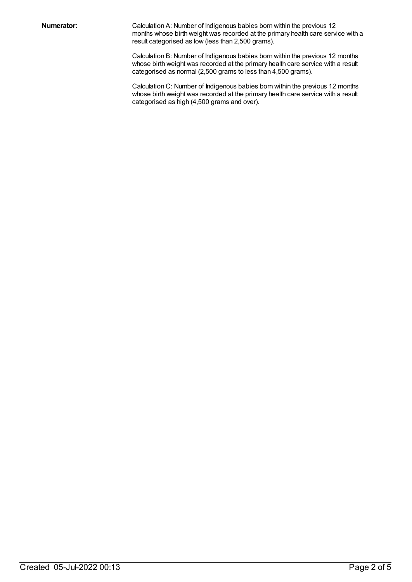**Numerator:** Calculation A: Number of Indigenous babies born within the previous 12 months whose birth weight was recorded at the primary health care service with a result categorised as low (less than 2,500 grams).

> Calculation B: Number of Indigenous babies born within the previous 12 months whose birth weight was recorded at the primary health care service with a result categorised as normal (2,500 grams to less than 4,500 grams).

> Calculation C: Number of Indigenous babies born within the previous 12 months whose birth weight was recorded at the primary health care service with a result categorised as high (4,500 grams and over).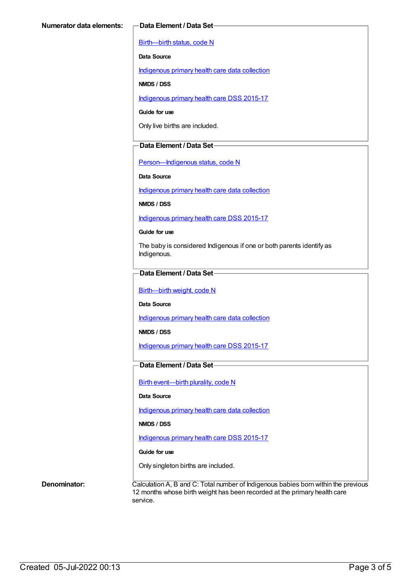[Birth—birth](https://meteor.aihw.gov.au/content/269949) status, code N

**Data Source**

[Indigenous](https://meteor.aihw.gov.au/content/430643) primary health care data collection

**NMDS / DSS**

[Indigenous](https://meteor.aihw.gov.au/content/585036) primary health care DSS 2015-17

**Guide for use**

Only live births are included.

#### **Data Element / Data Set**

[Person—Indigenous](https://meteor.aihw.gov.au/content/291036) status, code N

**Data Source**

[Indigenous](https://meteor.aihw.gov.au/content/430643) primary health care data collection

**NMDS / DSS**

[Indigenous](https://meteor.aihw.gov.au/content/585036) primary health care DSS 2015-17

**Guide for use**

The baby is considered Indigenous if one or both parents identify as Indigenous.

### **Data Element / Data Set**

[Birth—birth](https://meteor.aihw.gov.au/content/459938) weight, code N

**Data Source**

[Indigenous](https://meteor.aihw.gov.au/content/430643) primary health care data collection

**NMDS / DSS**

[Indigenous](https://meteor.aihw.gov.au/content/585036) primary health care DSS 2015-17

### **Data Element / Data Set**

Birth [event—birth](https://meteor.aihw.gov.au/content/482409) plurality, code N

#### **Data Source**

[Indigenous](https://meteor.aihw.gov.au/content/430643) primary health care data collection

**NMDS / DSS**

[Indigenous](https://meteor.aihw.gov.au/content/585036) primary health care DSS 2015-17

#### **Guide for use**

Only singleton births are included.

**Denominator:** Calculation A, B and C: Total number of Indigenous babies born within the previous 12 months whose birth weight has been recorded at the primary health care service.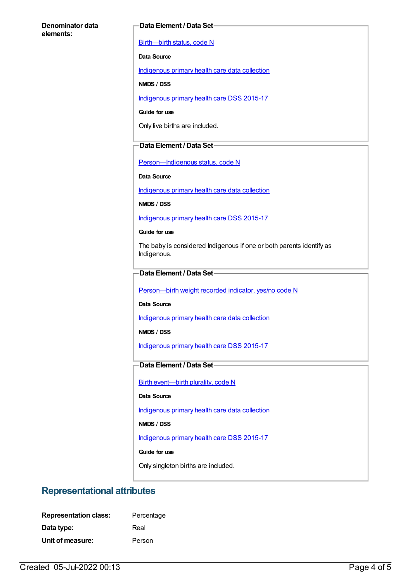#### **Denominator data elements:**

#### **Data Element / Data Set**

[Birth—birth](https://meteor.aihw.gov.au/content/269949) status, code N

**Data Source**

[Indigenous](https://meteor.aihw.gov.au/content/430643) primary health care data collection

**NMDS / DSS**

[Indigenous](https://meteor.aihw.gov.au/content/585036) primary health care DSS 2015-17

**Guide for use**

Only live births are included.

#### **Data Element / Data Set**

[Person—Indigenous](https://meteor.aihw.gov.au/content/291036) status, code N

**Data Source**

[Indigenous](https://meteor.aihw.gov.au/content/430643) primary health care data collection

**NMDS / DSS**

[Indigenous](https://meteor.aihw.gov.au/content/585036) primary health care DSS 2015-17

**Guide for use**

The baby is considered Indigenous if one or both parents identify as Indigenous.

#### **Data Element / Data Set**

[Person—birth](https://meteor.aihw.gov.au/content/441701) weight recorded indicator, yes/no code N

**Data Source**

[Indigenous](https://meteor.aihw.gov.au/content/430643) primary health care data collection

**NMDS / DSS**

[Indigenous](https://meteor.aihw.gov.au/content/585036) primary health care DSS 2015-17

### **Data Element / Data Set**

Birth [event—birth](https://meteor.aihw.gov.au/content/482409) plurality, code N

#### **Data Source**

[Indigenous](https://meteor.aihw.gov.au/content/430643) primary health care data collection

**NMDS / DSS**

[Indigenous](https://meteor.aihw.gov.au/content/585036) primary health care DSS 2015-17

**Guide for use**

Only singleton births are included.

## **Representational attributes**

| <b>Representation class:</b> | Percentage |
|------------------------------|------------|
| Data type:                   | Real       |
| Unit of measure:             | Person     |